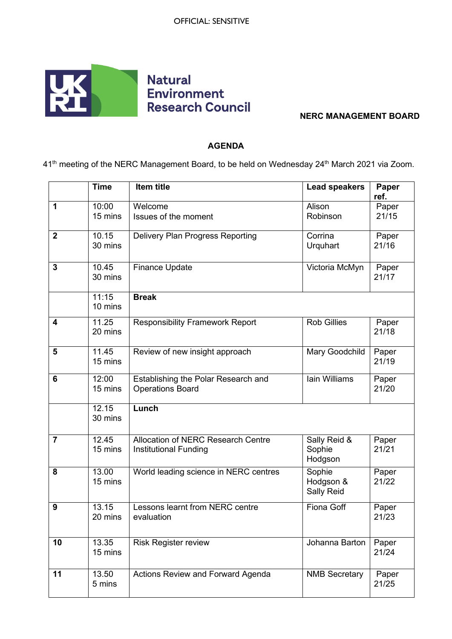

## **NERC MANAGEMENT BOARD**

## **AGENDA**

41<sup>th</sup> meeting of the NERC Management Board, to be held on Wednesday 24<sup>th</sup> March 2021 via Zoom.

|                | <b>Time</b>      | Item title                                                         | <b>Lead speakers</b>              | Paper<br>ref.  |
|----------------|------------------|--------------------------------------------------------------------|-----------------------------------|----------------|
| 1              | 10:00            | Welcome                                                            | Alison                            | Paper          |
|                | 15 mins          | Issues of the moment                                               | Robinson                          | 21/15          |
| $\overline{2}$ | 10.15<br>30 mins | <b>Delivery Plan Progress Reporting</b>                            | Corrina<br>Urquhart               | Paper<br>21/16 |
| 3              | 10.45<br>30 mins | <b>Finance Update</b>                                              | Victoria McMyn                    | Paper<br>21/17 |
|                | 11:15<br>10 mins | <b>Break</b>                                                       |                                   |                |
| 4              | 11.25<br>20 mins | <b>Responsibility Framework Report</b>                             | <b>Rob Gillies</b>                | Paper<br>21/18 |
| 5              | 11.45<br>15 mins | Review of new insight approach                                     | Mary Goodchild                    | Paper<br>21/19 |
| 6              | 12:00<br>15 mins | Establishing the Polar Research and<br><b>Operations Board</b>     | Iain Williams                     | Paper<br>21/20 |
|                | 12.15<br>30 mins | Lunch                                                              |                                   |                |
| $\overline{7}$ | 12.45<br>15 mins | Allocation of NERC Research Centre<br><b>Institutional Funding</b> | Sally Reid &<br>Sophie<br>Hodgson | Paper<br>21/21 |
| 8              | 13.00<br>15 mins | World leading science in NERC centres                              | Sophie<br>Hodgson &<br>Sally Reid | Paper<br>21/22 |
| 9              | 13.15<br>20 mins | Lessons learnt from NERC centre<br>evaluation                      | Fiona Goff                        | Paper<br>21/23 |
| 10             | 13.35<br>15 mins | <b>Risk Register review</b>                                        | Johanna Barton                    | Paper<br>21/24 |
| 11             | 13.50<br>5 mins  | <b>Actions Review and Forward Agenda</b>                           | <b>NMB Secretary</b>              | Paper<br>21/25 |